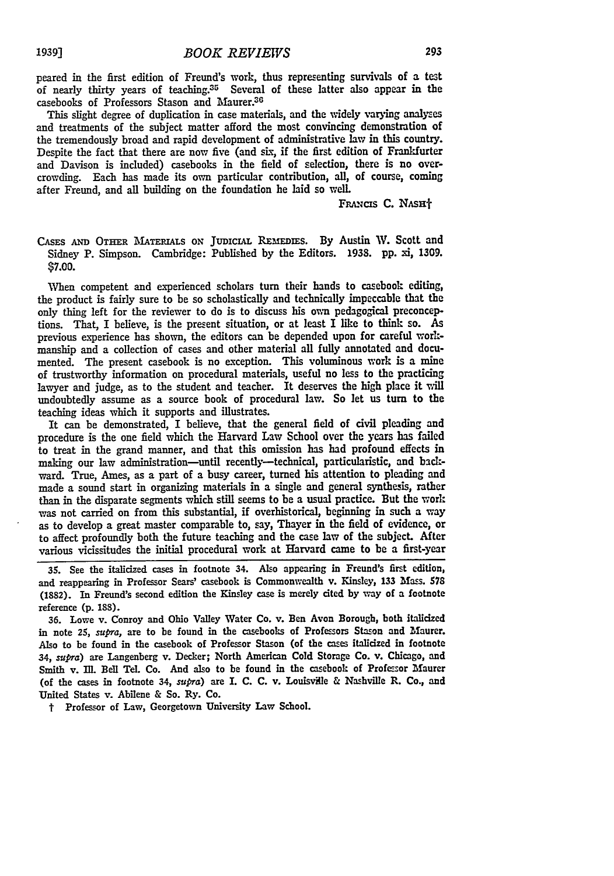peared in the first edition of Freund's work, thus representing survivals of a test of nearly thirty years of teaching.35 Several of these latter also appear in the casebooks of Professors Stason and Maurer.<sup>30</sup>

This slight degree of duplication in case materials, and the widely varying analyses and treatments of the subject matter afford the most convincing demonstration of the tremendously broad and rapid development of administrative law in this country. Despite the fact that there are now five (and six, if the first edition of Frankfurter and Davison is included) casebooks in the field of selection, there is no overcrowding. Each has made its own particular contribution, all, of course, coming after Freund, and all building on the foundation he laid so well.

FRANCIS C. NASH<sup>+</sup>

CASES AND OTHER MATERIALS ON JUDICIAL REMEDIES. By Austin W. Scott and Sidney P. Simpson. Cambridge: Published **by** the Editors. **1938. pp.** xi, 1309. **\$7.00.**

When competent and experienced scholars turn their hands to casebook editing, the product is fairly sure to be so scholastically and technically impeccable that the only thing left for the reviewer to do is to discuss his own pedagogical preconceptions. That, I believe, is the present situation, or at least I like to think so. As previous experience has shown, the editors can be depended upon for careful workmanship and a collection of cases and other material all fully annotated and documented. The present casebook is no exception. This voluminous work is a mine of trustworthy information on procedural materials, useful no less to the practicing lawyer and judge, as to the student and teacher. It deserves the high place it will undoubtedly assume as a source book of procedural law. So let us turn to the teaching ideas which it supports and illustrates.

It can be demonstrated, I believe, that the general field of civil pleading and procedure is the one field which the Harvard Law School over the years has failed to treat in the grand manner, and that this omission has had profound effects in making our law administration-until recently-technical, particularistic, and backward. True, Ames, as a part of a busy career, turned his attention to pleading and made a sound start in organizing materials in a single and general synthesis, rather than in the disparate segments which still seems to be a usual practice. But the work was not carried on from this substantial, if overhistorical, beginning in such a way as to develop a great master comparable to, say, Thayer in the **field** of evidence, or to affect profoundly both the future teaching and the case law of the subject. After various vicissitudes the initial procedural work at Harvard came to be a first-year

**35.** See the italicized cases in footnote 34. Also appearing in Freund's first edition, and reappearing in Professor Sears' casebook is Commonwealth v. Kinsley, **133** Mass. *<sup>578</sup>* (1882). In Freund's second edition the Kinsley case is merely cited **by** way of a footnote reference **(p. 188).**

**36.** Lowe v. Conroy and Ohio Valley Water Co. v. Ben Avon Borough, both italicized in note 25, *supra,* are to be found in the casebooks of Professors Stason and Maurer. Also to be found in the casebook of Professor Stason (of the cases italicized in footnote 34, *supra)* are Langenberg v. Decker; North American Cold Storage Co. v. Chicago, and Smith v. Ill. Bell Tel. Co. And also to be found in the casebook of Professor Maurer (of the cases in footnote 34, *supra*) are I. C. C. v. Louisville & Nashville R. Co., and United States v. Abilene & So. Ry. Co.

t Professor of Law, Georgetown University Law School.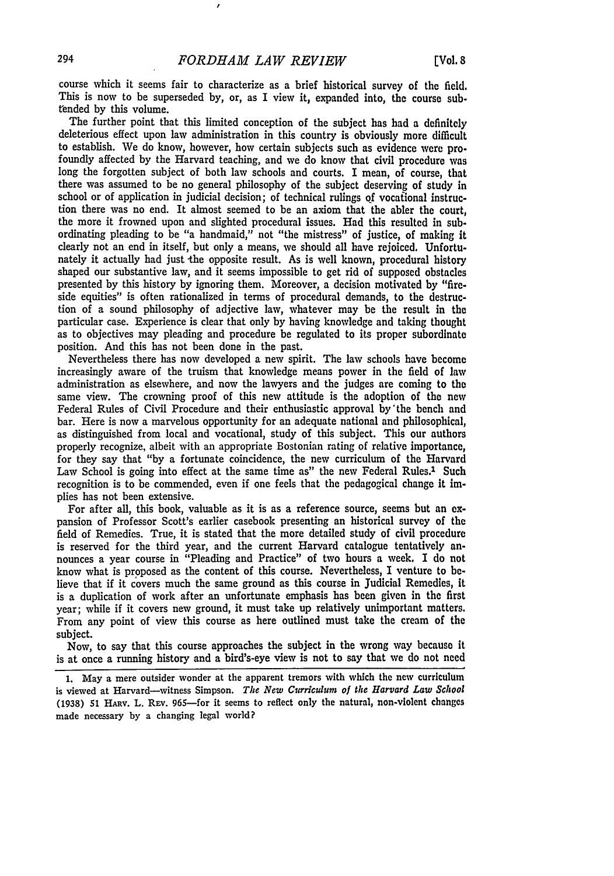course which it seems fair to characterize as a brief historical survey of the field. This is now to be superseded by, or, as I view it, expanded into, the course subtended by this volume.

The further point that this limited conception of the subject has had a definitely deleterious effect upon law administration in this country is obviously more difficult to establish. We do know, however, how certain subjects such as evidence were profoundly affected by the Harvard teaching, and we do know that civil procedure was long the forgotten subject of both law schools and courts. I mean, of course, that there was assumed to be no general philosophy of the subject deserving of study in school or of application in judicial decision; of technical rulings of vocafional instruction there was no end. It almost seemed to be an axiom that the abler the court, the more it frowned upon and slighted procedural issues. Had this resulted in subordinating pleading to be "a handmaid," not "the mistress" of justice, of making it clearly not an end in itself, but only a means, we should all have rejoiced. Unfortunately it actually had just the opposite result. As is well known, procedural history shaped our substantive law, and it seems impossible to get rid of supposed obstacles presented by this history **by** ignoring them. Moreover, a decision motivated **by** "fire. side equities" is often rationalized in terms of procedural demands, to the destruction of a sound philosophy of adjective law, whatever may be the result in the particular case. Experience is clear that only **by** having knowledge and taking thought as to objectives may pleading and procedure be regulated to its proper subordinate position. And this has not been done in the past.

Nevertheless there has now developed a new spirit. The law schools have become increasingly aware of the truism that knowledge means power in the field of law administration as elsewhere, and now the lawyers and the judges are coming to the same view. The crowning proof of this new attitude is the adoption of the new Federal Rules of Civil Procedure and their enthusiastic approval by'the bench and bar. Here is now a marvelous opportunity for an adequate national and philosophical, as distinguished from local and vocational, study of this subject. This our authors properly recognize, albeit with an appropriate Bostonian rating of relative importance, for they say that "by a fortunate coincidence, the new curriculum of the Harvard Law School is going into effect at the same time as" the new Federal Rules.<sup>1</sup> Such recognition is to be commended, even if one feels that the pedagogical change it implies has not been extensive.

For after all, this book, valuable as it is as a reference source, seems but an expansion of Professor Scott's earlier casebook presenting an historical survey of the field of Remedies. True, it is stated that the more detailed study of civil procedure is reserved for the third year, and the current Harvard catalogue tentatively announces a year course in "Pleading and Practice" of two hours a week. I do not know what is proposed as the content of this course. Nevertheless, I venture to **be**lieve that if it covers much the same ground as this course in Judicial Remedies, it is a duplication of work after an unfortunate emphasis has been given in the first year; while if it covers new ground, it must take up relatively unimportant matters. From any point of view this course as here outlined must take the cream of the subject.

Now, to say that this course approaches the subject in the wrong way because it is at once a running history and a bird's-eye view is not to say that we do not need

**1.** May a mere outsider wonder at the apparent tremors with which the new curriculum is viewed at Harvard-witness Simpson. *The New Curriculum of the Harvard Law School* **(1938) 51 HARV.** L. **REv.** 965--for it seems to reflect only the natural, non-violent changes made necessary **by** a changing legal world?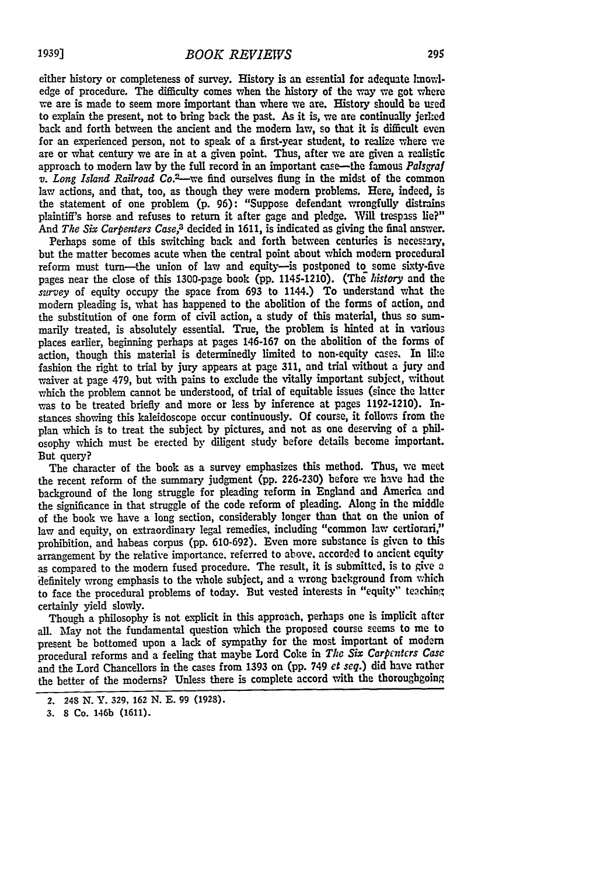either history or completeness of survey. History is an essential for adequate kmowledge of procedure. The difficulty comes when the history of the way we got where we are is made to seem more important than where we are. History should be used to explain the present, not to bring back the past. As it is, we are continually jerked back and forth between the ancient and the modem law, so that it is difficult even for an experienced person, not to speak of a first-year student, to realize where we are or what century we are in at a given point. Thus, after we are given a realistic approach to modem law by the full record in an important case-the famous *Palsgraf v. Long Island Railroad Co. <sup>2</sup> -we* **find** ourselves flung in the midst of the common law actions, and that, too, as though they were modem problems. Here, indeed, is the statement of one problem **(p. 96):** "Suppose defendant wrongfully distrains plaintiff's horse and refuses to return it after gage and pledge. Will trespass lie?" And *The Six Carpenters Case,3* decided in 1611, is indicated as giving the final answer.

Perhaps some of this switching back and forth between centuries is necessary, but the matter becomes acute when the central point about which modem procedural reform must turn—the union of law and equity-is postponed to some sixty-five pages near the close of this 1300-page book (pp. 1145-1210). (The *history* and the *survey* of equity occupy the space from **693** to 1144.) To understand what the modem pleading is, what has happened to the abolition of the forms of action, and the substitution of one form of civil action, a study of this material, thus so summarily treated, is absolutely essential. True, the problem is hinted at in various places earlier, beginning perhaps at pages 146-167 on the abolition of the forms of action, though this material is determinedly limited to non-equity cases. In like fashion the right to trial by jury appears at page 311, and trial without a jury and waiver at page 479, but with pains to exclude the vitally important subject, without which the problem cannot be understood, of trial of equitable issues (since the latter was to be treated briefly and more or less by inference at pages 1192-1210). Instances showing this kaleidoscope occur continuously. **Of** course, it follows from the plan which is to treat the subject by pictures, and not as one deserving of a philosophy which must be erected by diligent study before details become important. But query?

The character of the book as a survey emphasizes this method. Thus, we meet the recent reform of the summary judgment (pp. **226-230)** before we have had the background of the long struggle for pleading reform in England and America and the significance in that struggle of the code reform of pleading. Along in the middle of the book we have a long section, considerably longer than that on the union of law and equity, on extraordinary legal remedies, including "common law certiorari," prohibition, and habeas corpus **(pp.** 610-692). Even more substance is given to this arrangement by the relative importance, referred to above, accorded to ancient equity as compared to the modem fused procedure. The result, it is submitted, is to give a definitely wrong emphasis to the whole subject, and a wrong background from which to face the procedural problems of today. But vested interests in "equity" teaching certainly yield slowly.

Though a philosophy is not explicit in this approach, perhaps one is implicit after all. May not the fundamental question which the proposed course seems to me to present be bottomed upon a lack of sympathy for the most important of modem procedural reforms and a feeling that maybe Lord Coke in *The Six Carpenters Case* and the Lord Chancellors in the cases from 1393 on (pp. 749 *et seq.)* did have rather the better of the modems? Unless there is complete accord with the thoroughgoing

**<sup>2.</sup> 248 N.** Y. **329, 162 N. E. 99 (1928).**

**<sup>3.</sup> 8** Co. 146b **(1611)-**